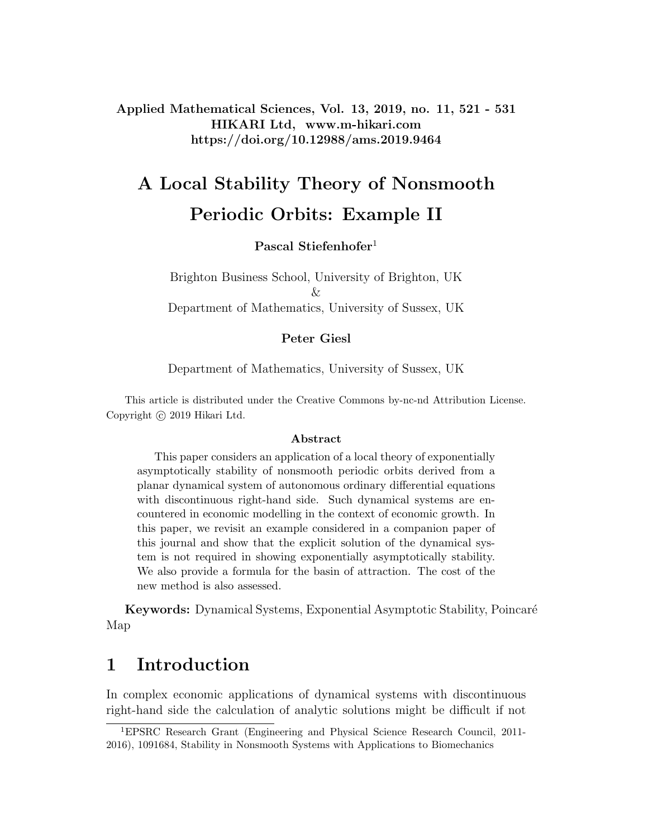Applied Mathematical Sciences, Vol. 13, 2019, no. 11, 521 - 531 HIKARI Ltd, www.m-hikari.com https://doi.org/10.12988/ams.2019.9464

# A Local Stability Theory of Nonsmooth Periodic Orbits: Example II

Pascal Stiefenhofer<sup>1</sup>

Brighton Business School, University of Brighton, UK & Department of Mathematics, University of Sussex, UK

#### Peter Giesl

Department of Mathematics, University of Sussex, UK

This article is distributed under the Creative Commons by-nc-nd Attribution License. Copyright (c) 2019 Hikari Ltd.

#### Abstract

This paper considers an application of a local theory of exponentially asymptotically stability of nonsmooth periodic orbits derived from a planar dynamical system of autonomous ordinary differential equations with discontinuous right-hand side. Such dynamical systems are encountered in economic modelling in the context of economic growth. In this paper, we revisit an example considered in a companion paper of this journal and show that the explicit solution of the dynamical system is not required in showing exponentially asymptotically stability. We also provide a formula for the basin of attraction. The cost of the new method is also assessed.

Keywords: Dynamical Systems, Exponential Asymptotic Stability, Poincar´e Map

### 1 Introduction

In complex economic applications of dynamical systems with discontinuous right-hand side the calculation of analytic solutions might be difficult if not

<sup>1</sup>EPSRC Research Grant (Engineering and Physical Science Research Council, 2011- 2016), 1091684, Stability in Nonsmooth Systems with Applications to Biomechanics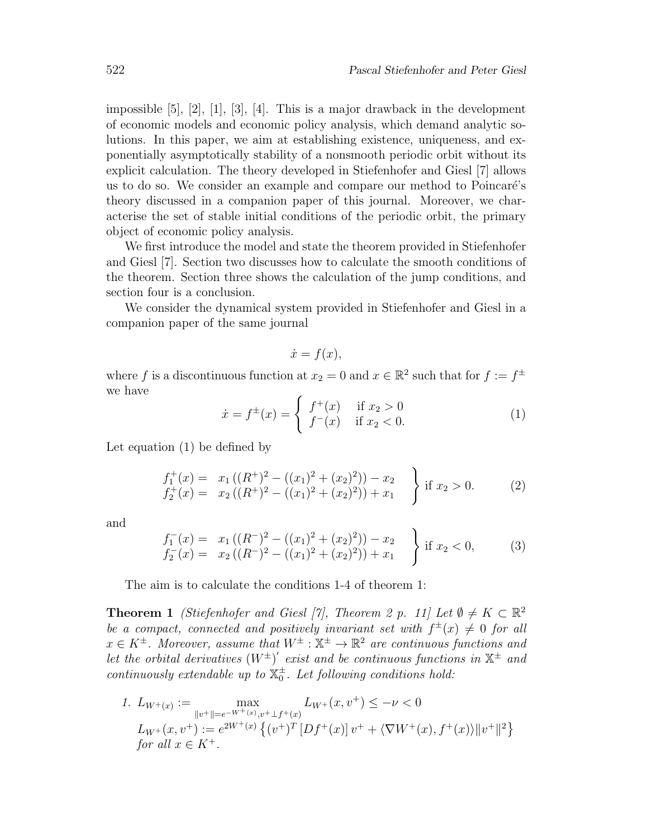impossible  $[5]$ ,  $[2]$ ,  $[1]$ ,  $[3]$ ,  $[4]$ . This is a major drawback in the development of economic models and economic policy analysis, which demand analytic solutions. In this paper, we aim at establishing existence, uniqueness, and exponentially asymptotically stability of a nonsmooth periodic orbit without its explicit calculation. The theory developed in Stiefenhofer and Giesl [7] allows us to do so. We consider an example and compare our method to Poincaré's theory discussed in a companion paper of this journal. Moreover, we characterise the set of stable initial conditions of the periodic orbit, the primary object of economic policy analysis.

We first introduce the model and state the theorem provided in Stiefenhofer and Giesl [7]. Section two discusses how to calculate the smooth conditions of the theorem. Section three shows the calculation of the jump conditions, and section four is a conclusion.

We consider the dynamical system provided in Stiefenhofer and Giesl in a companion paper of the same journal

$$
\dot{x} = f(x),
$$

where f is a discontinuous function at  $x_2 = 0$  and  $x \in \mathbb{R}^2$  such that for  $f := f^{\pm}$ we have

$$
\dot{x} = f^{\pm}(x) = \begin{cases} f^+(x) & \text{if } x_2 > 0\\ f^-(x) & \text{if } x_2 < 0. \end{cases}
$$
 (1)

Let equation (1) be defined by

$$
f_1^+(x) = x_1 ((R^+)^2 - ((x_1)^2 + (x_2)^2)) - x_2
$$
  
\n
$$
f_2^+(x) = x_2 ((R^+)^2 - ((x_1)^2 + (x_2)^2)) + x_1
$$
 if  $x_2 > 0$ . (2)

and

$$
f_1^-(x) = x_1((R^-)^2 - ((x_1)^2 + (x_2)^2)) - x_2
$$
  
\n
$$
f_2^-(x) = x_2((R^-)^2 - ((x_1)^2 + (x_2)^2)) + x_1
$$
 if  $x_2 < 0$ , (3)

The aim is to calculate the conditions 1-4 of theorem 1:

**Theorem 1** (Stiefenhofer and Giesl [7], Theorem 2 p. 11] Let  $\emptyset \neq K \subset \mathbb{R}^2$ be a compact, connected and positively invariant set with  $f^{\pm}(x) \neq 0$  for all  $x \in K^{\pm}$ . Moreover, assume that  $W^{\pm} : \mathbb{X}^{\pm} \to \mathbb{R}^2$  are continuous functions and let the orbital derivatives  $(W^{\pm})'$  exist and be continuous functions in  $\mathbb{X}^{\pm}$  and continuously extendable up to  $\mathbb{X}_{0}^{\pm}$ . Let following conditions hold:

1. 
$$
L_{W^+(x)} := \max_{\|v^+\| = e^{-W^+(x)}, v^+\perp f^+(x)} L_{W^+}(x, v^+) \le -\nu < 0
$$
  
\n $L_{W^+}(x, v^+) := e^{2W^+(x)} \{(v^+)^T [Df^+(x)] v^+ + \langle \nabla W^+(x), f^+(x) \rangle \|v^+\|^2 \}$   
\nfor all  $x \in K^+$ .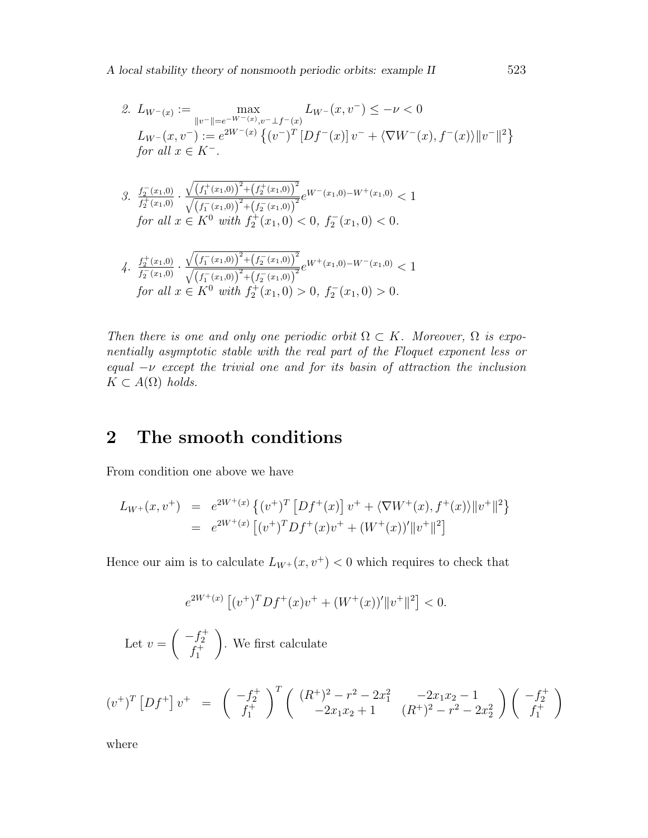2. 
$$
L_{W^{-}(x)} := \max_{\|v^{-}\| = e^{-W^{-}(x)}, v^{-} \perp f^{-}(x)} L_{W^{-}}(x, v^{-}) \leq -\nu < 0
$$
  
\n $L_{W^{-}}(x, v^{-}) := e^{2W^{-}(x)} \{(v^{-})^{T} [Df^{-}(x)] v^{-} + \langle \nabla W^{-}(x), f^{-}(x) \rangle ||v^{-}||^{2} \}$   
\nfor all  $x \in K^{-}$ .

3. 
$$
\frac{f_2^-(x_1,0)}{f_2^+(x_1,0)} \cdot \frac{\sqrt{\left(f_1^+(x_1,0)\right)^2 + \left(f_2^+(x_1,0)\right)^2}}{\sqrt{\left(f_1^-(x_1,0)\right)^2 + \left(f_2^-(x_1,0)\right)^2}} e^{W^-(x_1,0) - W^+(x_1,0)} < 1
$$
  
for all  $x \in K^0$  with  $f_2^+(x_1,0) < 0$ ,  $f_2^-(x_1,0) < 0$ .

4. 
$$
\frac{f_2^+(x_1,0)}{f_2^-(x_1,0)} \cdot \frac{\sqrt{\left(f_1^-(x_1,0)\right)^2 + \left(f_2^-(x_1,0)\right)^2}}{\sqrt{\left(f_1^-(x_1,0)\right)^2 + \left(f_2^-(x_1,0)\right)^2}} e^{W^+(x_1,0) - W^-(x_1,0)} < 1
$$
  
for all  $x \in K^0$  with  $f_2^+(x_1,0) > 0$ ,  $f_2^-(x_1,0) > 0$ .

Then there is one and only one periodic orbit  $\Omega \subset K$ . Moreover,  $\Omega$  is exponentially asymptotic stable with the real part of the Floquet exponent less or equal  $-v$  except the trivial one and for its basin of attraction the inclusion  $K \subset A(\Omega)$  holds.

### 2 The smooth conditions

From condition one above we have

$$
L_{W^{+}}(x, v^{+}) = e^{2W^{+}(x)} \left\{ (v^{+})^{T} \left[ Df^{+}(x) \right] v^{+} + \langle \nabla W^{+}(x), f^{+}(x) \rangle ||v^{+}||^{2} \right\}
$$
  
=  $e^{2W^{+}(x)} \left[ (v^{+})^{T} Df^{+}(x) v^{+} + (W^{+}(x))' ||v^{+}||^{2} \right]$ 

Hence our aim is to calculate  $L_{W^+}(x, v^+) < 0$  which requires to check that

$$
e^{2W^+(x)} \left[ (v^+)^T D f^+(x) v^+ + (W^+(x)')' \|v^+\|^2 \right] < 0.
$$
  
Let  $v = \begin{pmatrix} -f_2^+ \\ f_1^+ \end{pmatrix}$ . We first calculate  

$$
(v^+)^T \left[ D f^+ \right] v^+ = \begin{pmatrix} -f_2^+ \\ f_1^+ \end{pmatrix}^T \begin{pmatrix} (R^+)^2 - r^2 - 2x_1^2 & -2x_1x_2 - 1 \\ -2x_1x_2 + 1 & (R^+)^2 - r^2 - 2x_2^2 \end{pmatrix} \begin{pmatrix} -f_2^+ \\ f_1^+ \end{pmatrix}
$$

 $-2x_1x_2+1$   $(R^+)^2 - r^2 - 2x_2^2$ 

 $f_1^+$ 

 $\setminus$ 

where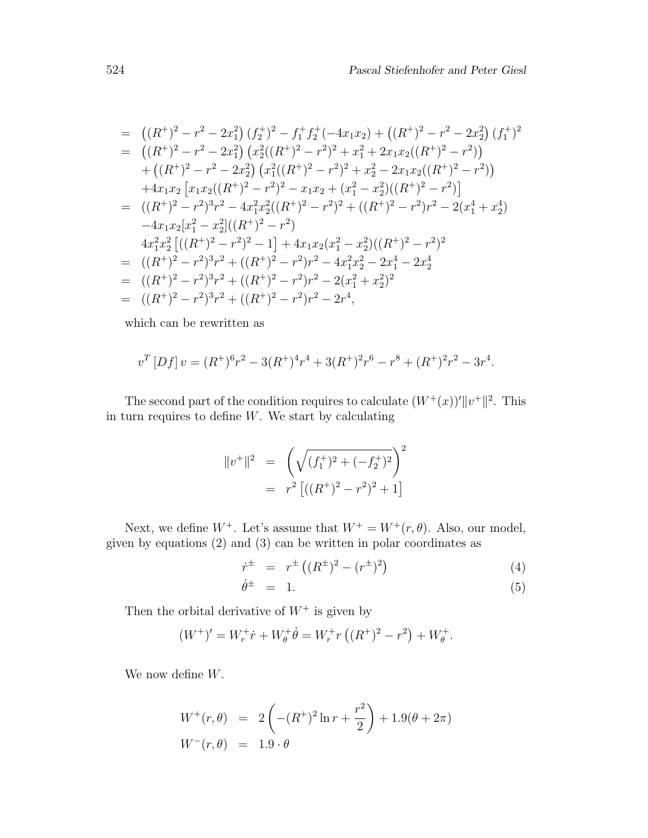$$
= ((R^+)^2 - r^2 - 2x_1^2) (f_2^+)^2 - f_1^+ f_2^+ (-4x_1x_2) + ((R^+)^2 - r^2 - 2x_2^2) (f_1^+)^2
$$
  
\n
$$
= ((R^+)^2 - r^2 - 2x_1^2) (x_2^2((R^+)^2 - r^2)^2 + x_1^2 + 2x_1x_2((R^+)^2 - r^2))
$$
  
\n
$$
+ ((R^+)^2 - r^2 - 2x_2^2) (x_1^2((R^+)^2 - r^2)^2 + x_2^2 - 2x_1x_2((R^+)^2 - r^2))
$$
  
\n
$$
+ 4x_1x_2 [x_1x_2((R^+)^2 - r^2)^2 - x_1x_2 + (x_1^2 - x_2^2)((R^+)^2 - r^2)]
$$
  
\n
$$
= ((R^+)^2 - r^2)^3r^2 - 4x_1^2x_2^2((R^+)^2 - r^2)^2 + ((R^+)^2 - r^2)r^2 - 2(x_1^4 + x_2^4)
$$
  
\n
$$
-4x_1x_2[x_1^2 - x_2^2]((R^+)^2 - r^2)
$$
  
\n
$$
4x_1^2x_2^2 [(R^+)^2 - r^2)^2 - 1] + 4x_1x_2(x_1^2 - x_2^2)((R^+)^2 - r^2)^2
$$
  
\n
$$
= ((R^+)^2 - r^2)^3r^2 + ((R^+)^2 - r^2)r^2 - 4x_1^2x_2^2 - 2x_1^4 - 2x_2^4
$$
  
\n
$$
= ((R^+)^2 - r^2)^3r^2 + ((R^+)^2 - r^2)r^2 - 2(x_1^2 + x_2^2)^2
$$
  
\n
$$
= ((R^+)^2 - r^2)^3r^2 + ((R^+)^2 - r^2)r^2 - 2r^4,
$$

which can be rewritten as

$$
v^T [Df] v = (R^+)^6 r^2 - 3(R^+)^4 r^4 + 3(R^+)^2 r^6 - r^8 + (R^+)^2 r^2 - 3r^4.
$$

The second part of the condition requires to calculate  $(W^+(x))'||v^+||^2$ . This in turn requires to define  $W$ . We start by calculating

$$
||v^+||^2 = \left(\sqrt{(f_1^+)^2 + (-f_2^+)^2}\right)^2
$$
  
=  $r^2 \left[ ((R^+)^2 - r^2)^2 + 1 \right]$ 

Next, we define  $W^+$ . Let's assume that  $W^+ = W^+(r, \theta)$ . Also, our model, given by equations (2) and (3) can be written in polar coordinates as

$$
\dot{r}^{\pm} = r^{\pm} \left( (R^{\pm})^2 - (r^{\pm})^2 \right) \tag{4}
$$

$$
\dot{\theta}^{\pm} = 1. \tag{5}
$$

Then the orbital derivative of  $W^+$  is given by

$$
(W^+)' = W^+_r \dot{r} + W^+_\theta \dot{\theta} = W^+_r r \left( (R^+)^2 - r^2 \right) + W^+_\theta.
$$

We now define W.

$$
W^{+}(r,\theta) = 2\left(-(R^{+})^{2}\ln r + \frac{r^{2}}{2}\right) + 1.9(\theta + 2\pi)
$$
  

$$
W^{-}(r,\theta) = 1.9 \cdot \theta
$$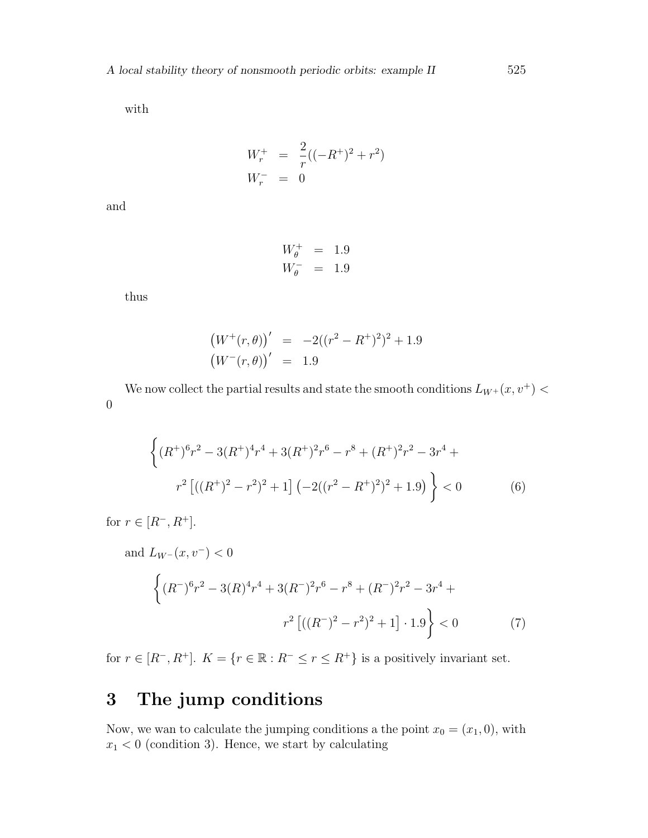with

$$
W_r^+ = \frac{2}{r}((-R^+)^2 + r^2)
$$
  

$$
W_r^- = 0
$$

and

$$
W_{\theta}^{+} = 1.9
$$
  

$$
W_{\theta}^{-} = 1.9
$$

thus

$$
(W^+(r,\theta))' = -2((r^2 - R^+)^2)^2 + 1.9
$$
  

$$
(W^-(r,\theta))' = 1.9
$$

We now collect the partial results and state the smooth conditions  $L_{W^+}(x, v^+)$ 0

$$
\left\{ (R^+)^6 r^2 - 3(R^+)^4 r^4 + 3(R^+)^2 r^6 - r^8 + (R^+)^2 r^2 - 3r^4 + r^2 \left[ ((R^+)^2 - r^2)^2 + 1 \right] \left( -2((r^2 - R^+)^2)^2 + 1.9 \right) \right\} < 0
$$
 (6)

for  $r \in [R^-, R^+]$ .

and 
$$
L_{W^-}(x, v^-) < 0
$$
  
\n
$$
\{(R^-)^6 r^2 - 3(R)^4 r^4 + 3(R^-)^2 r^6 - r^8 + (R^-)^2 r^2 - 3r^4 + r^2 [(R^-)^2 - r^2)^2 + 1] \cdot 1.9\} < 0
$$
\n(7)

for  $r \in [R^-, R^+]$ .  $K = \{r \in \mathbb{R} : R^- \le r \le R^+\}$  is a positively invariant set.

## 3 The jump conditions

Now, we wan to calculate the jumping conditions a the point  $x_0 = (x_1, 0)$ , with  $x_1 < 0$  (condition 3). Hence, we start by calculating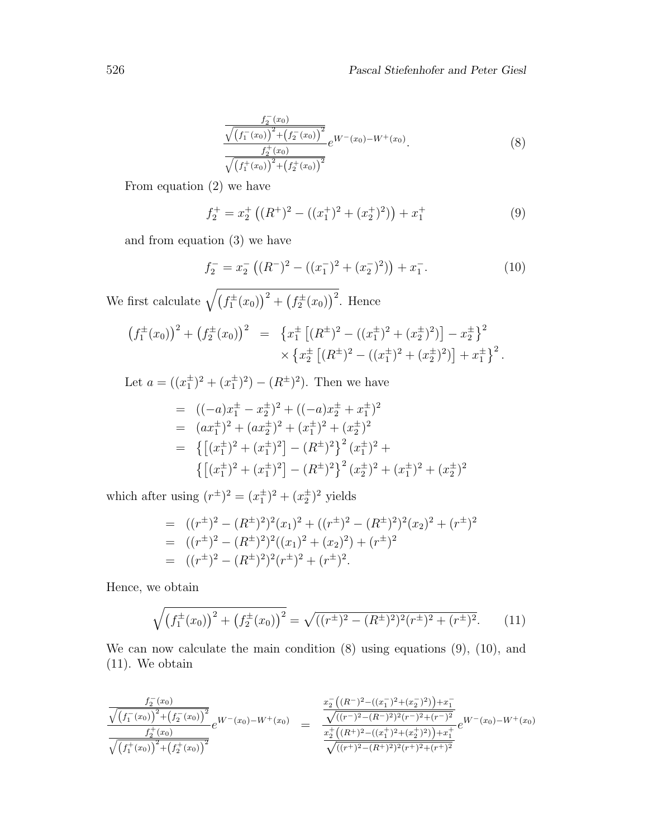$$
\frac{f_2^-(x_0)}{\sqrt{\left(f_1^-(x_0)\right)^2 + \left(f_2^-(x_0)\right)^2}} e^{W^-(x_0) - W^+(x_0)}.
$$
\n
$$
\frac{f_2^+(x_0)}{\sqrt{\left(f_1^+(x_0)\right)^2 + \left(f_2^+(x_0)\right)^2}}.
$$
\n(8)

From equation (2) we have

$$
f_2^+ = x_2^+ \left( (R^+)^2 - ((x_1^+)^2 + (x_2^+)^2) \right) + x_1^+
$$
\n(9)

and from equation (3) we have

$$
f_2^- = x_2^- ((R^-)^2 - ((x_1^-)^2 + (x_2^-)^2)) + x_1^-.
$$
 (10)

We first calculate  $\sqrt{\left(f_1^{\pm}(x_0)\right)^2 + \left(f_2^{\pm}(x_0)\right)^2}$ . Hence

$$
(f_1^{\pm}(x_0))^2 + (f_2^{\pm}(x_0))^2 = \left\{ x_1^{\pm} \left[ (R^{\pm})^2 - ((x_1^{\pm})^2 + (x_2^{\pm})^2) \right] - x_2^{\pm} \right\}^2
$$
  
 
$$
\times \left\{ x_2^{\pm} \left[ (R^{\pm})^2 - ((x_1^{\pm})^2 + (x_2^{\pm})^2) \right] + x_1^{\pm} \right\}^2.
$$

Let  $a = ((x_1^{\pm})^2 + (x_1^{\pm})^2) - (R^{\pm})^2$ . Then we have

$$
= ((-a)x_1^{\pm} - x_2^{\pm})^2 + ((-a)x_2^{\pm} + x_1^{\pm})^2
$$
  
\n
$$
= (ax_1^{\pm})^2 + (ax_2^{\pm})^2 + (x_1^{\pm})^2 + (x_2^{\pm})^2
$$
  
\n
$$
= \{ [(x_1^{\pm})^2 + (x_1^{\pm})^2] - (R^{\pm})^2 \}^2 (x_1^{\pm})^2 +
$$
  
\n
$$
\{ [(x_1^{\pm})^2 + (x_1^{\pm})^2] - (R^{\pm})^2 \}^2 (x_2^{\pm})^2 + (x_1^{\pm})^2 + (x_2^{\pm})^2
$$

which after using  $(r^{\pm})^2 = (x_1^{\pm})^2 + (x_2^{\pm})^2$  yields

= 
$$
((r^{\pm})^2 - (R^{\pm})^2)^2(x_1)^2 + ((r^{\pm})^2 - (R^{\pm})^2)^2(x_2)^2 + (r^{\pm})^2
$$
  
\n=  $((r^{\pm})^2 - (R^{\pm})^2)^2((x_1)^2 + (x_2)^2) + (r^{\pm})^2$   
\n=  $((r^{\pm})^2 - (R^{\pm})^2)^2(r^{\pm})^2 + (r^{\pm})^2$ .

Hence, we obtain

$$
\sqrt{\left(f_1^{\pm}(x_0)\right)^2 + \left(f_2^{\pm}(x_0)\right)^2} = \sqrt{\left((r^{\pm})^2 - (R^{\pm})^2\right)^2\left(r^{\pm}\right)^2 + (r^{\pm})^2}.\tag{11}
$$

We can now calculate the main condition  $(8)$  using equations  $(9)$ ,  $(10)$ , and (11). We obtain

$$
\frac{\frac{f_2^-(x_0)}{\sqrt{\left(f_1^-(x_0)\right)^2 + \left(f_2^-(x_0)\right)^2}}}{\frac{f_2^+(x_0)}{\sqrt{\left(f_1^+(x_0)\right)^2 + \left(f_2^+(x_0)\right)^2}}}\n e^{W^-(x_0) - W^+(x_0)} = \frac{\frac{x_2^-\left((R^-)^2 - ((x_1^-)^2 + (x_2^-)^2)\right) + x_1^-}{\sqrt{((r^-)^2 - (R^-)^2)^2(r^-)^2 + (r^-)^2}}}{\frac{x_2^+\left((R^+)^2 - ((x_1^+)^2 + (x_2^+)^2)\right) + x_1^+}{\sqrt{((r^+)^2 - (R^+)^2)^2(r^+)^2 + (r^+)^2}}}\n e^{W^-(x_0) - W^+(x_0)}
$$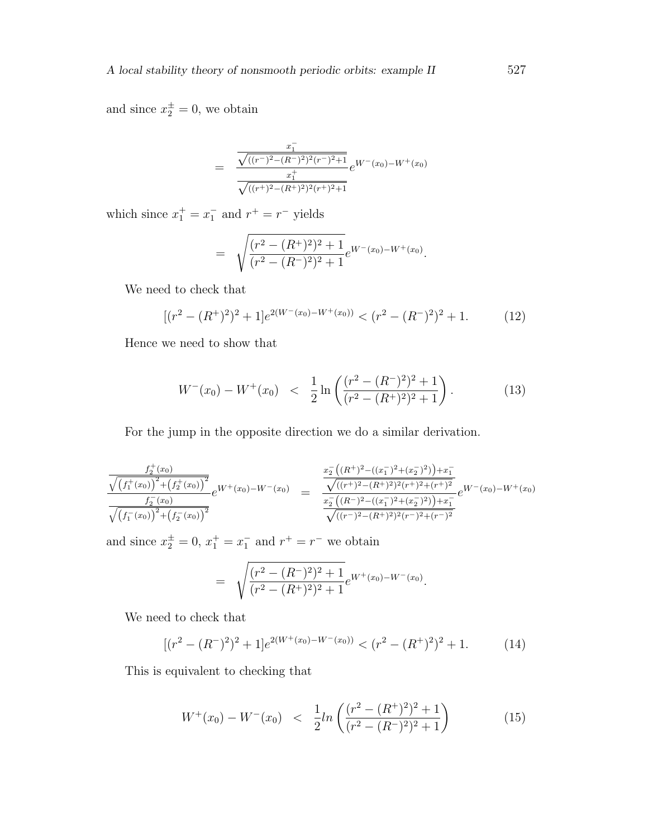and since  $x_2^{\pm} = 0$ , we obtain

$$
= \frac{\frac{x_1^-}{\sqrt{((r^-)^2 - (R^-)^2)^2 (r^-)^2 + 1}}}{\frac{x_1^+}{\sqrt{((r^+)^2 - (R^+)^2)^2 (r^+)^2 + 1}}} e^{W^-(x_0) - W^+(x_0)}
$$

which since  $x_1^+ = x_1^-$  and  $r^+ = r^-$  yields

$$
= \sqrt{\frac{(r^2 - (R^+)^2)^2 + 1}{(r^2 - (R^-)^2)^2 + 1}} e^{W^-(x_0) - W^+(x_0)}.
$$

We need to check that

$$
[(r^{2} - (R^{+})^{2})^{2} + 1]e^{2(W^{-}(x_{0}) - W^{+}(x_{0}))} < (r^{2} - (R^{-})^{2})^{2} + 1.
$$
 (12)

Hence we need to show that

$$
W^{-}(x_0) - W^{+}(x_0) < \frac{1}{2} \ln \left( \frac{(r^2 - (R^{-})^2)^2 + 1}{(r^2 - (R^{+})^2)^2 + 1} \right). \tag{13}
$$

For the jump in the opposite direction we do a similar derivation.

$$
\frac{f_2^+(x_0)}{\sqrt{\left(f_1^+(x_0)\right)^2 + \left(f_2^+(x_0)\right)^2}} e^{W^+(x_0) - W^-(x_0)} = \frac{\frac{x_2^-((R^+)^2 - ((x_1^-)^2 + (x_2^-)^2)) + x_1^-}{\sqrt{((r^+)^2 - (R^+)^2)^2(r^+)^2 + (r^+)^2}}}{\frac{x_2^-((R^-)^2 - ((x_1^-)^2 + (x_2^-)^2)) + x_1^-}{\sqrt{((r^-)^2 - (R^+)^2)^2(r^+)^2 + (r^+)^2}}} e^{W^-(x_0) - W^+(x_0)}
$$

and since  $x_2^{\pm} = 0$ ,  $x_1^{\pm} = x_1^-$  and  $r^{\pm} = r^-$  we obtain

$$
= \sqrt{\frac{(r^2 - (R^-)^2)^2 + 1}{(r^2 - (R^+)^2)^2 + 1}} e^{W^+(x_0) - W^-(x_0)}.
$$

We need to check that

$$
[(r^{2} - (R^{-})^{2})^{2} + 1]e^{2(W^{+}(x_{0}) - W^{-}(x_{0}))} < (r^{2} - (R^{+})^{2})^{2} + 1.
$$
 (14)

This is equivalent to checking that

$$
W^{+}(x_0) - W^{-}(x_0) < \frac{1}{2} \ln \left( \frac{(r^2 - (R^+)^2)^2 + 1}{(r^2 - (R^-)^2)^2 + 1} \right) \tag{15}
$$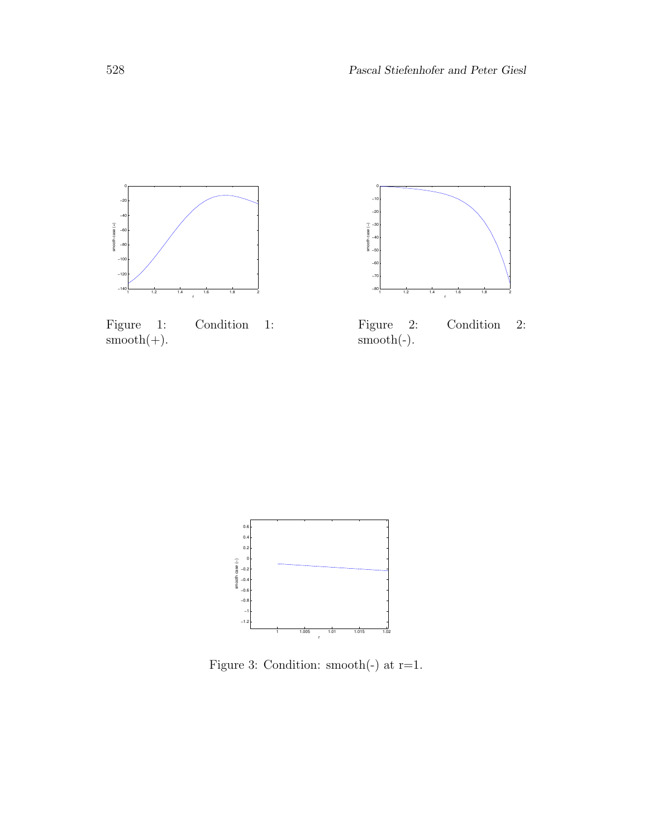

Figure 1: Condition 1:  $smooth(+).$ 



Figure 2: Condition 2:  $\mbox{smooth}(\textnormal{-}).$ 



Figure 3: Condition: smooth $(-)$  at r=1.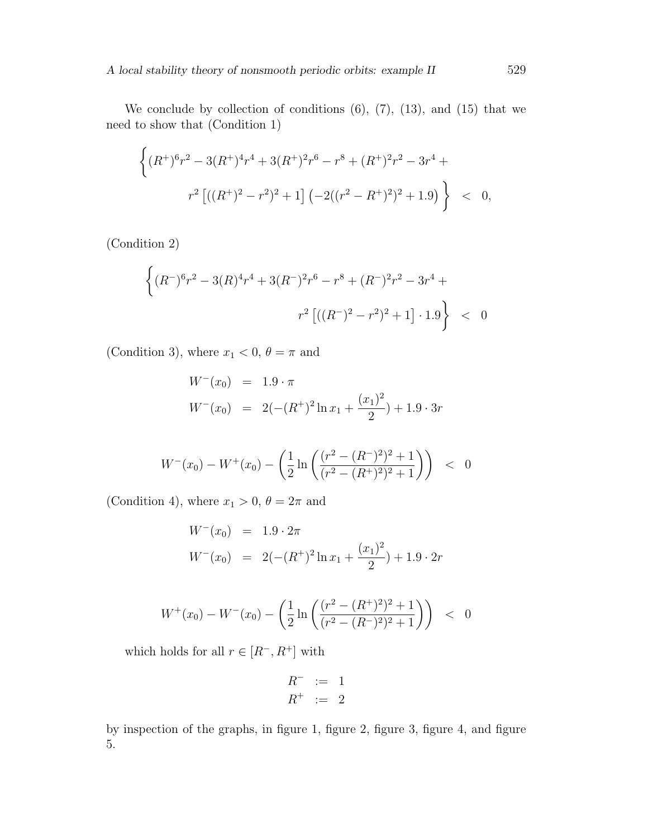We conclude by collection of conditions  $(6)$ ,  $(7)$ ,  $(13)$ , and  $(15)$  that we need to show that (Condition 1)

$$
\left\{ (R^+)^6 r^2 - 3(R^+)^4 r^4 + 3(R^+)^2 r^6 - r^8 + (R^+)^2 r^2 - 3r^4 + r^2 \left[ ((R^+)^2 - r^2)^2 + 1 \right] \left( -2((r^2 - R^+)^2)^2 + 1.9 \right) \right\} < 0,
$$

(Condition 2)

$$
\left\{ (R^{-})^6 r^2 - 3(R)^4 r^4 + 3(R^{-})^2 r^6 - r^8 + (R^{-})^2 r^2 - 3r^4 + r^2 \left[ ((R^{-})^2 - r^2)^2 + 1 \right] \cdot 1.9 \right\} < 0
$$

(Condition 3), where  $x_1 < 0$ ,  $\theta = \pi$  and

$$
W^{-}(x_0) = 1.9 \cdot \pi
$$
  
\n
$$
W^{-}(x_0) = 2(-(R^{+})^2 \ln x_1 + \frac{(x_1)^2}{2}) + 1.9 \cdot 3r
$$

$$
W^{-}(x_0) - W^{+}(x_0) - \left(\frac{1}{2}\ln\left(\frac{(r^2 - (R^{-})^2)^2 + 1}{(r^2 - (R^{+})^2)^2 + 1}\right)\right) < 0
$$

(Condition 4), where  $x_1 > 0$ ,  $\theta = 2\pi$  and

$$
W^{-}(x_0) = 1.9 \cdot 2\pi
$$
  
\n
$$
W^{-}(x_0) = 2(-(R^{+})^2 \ln x_1 + \frac{(x_1)^2}{2}) + 1.9 \cdot 2r
$$

$$
W^{+}(x_0) - W^{-}(x_0) - \left(\frac{1}{2}\ln\left(\frac{(r^2 - (R^+)^2)^2 + 1}{(r^2 - (R^-)^2)^2 + 1}\right)\right) < 0
$$

which holds for all  $r\in[R^-,R^+]$  with

$$
R^- := 1
$$
  

$$
R^+ := 2
$$

by inspection of the graphs, in figure 1, figure 2, figure 3, figure 4, and figure 5.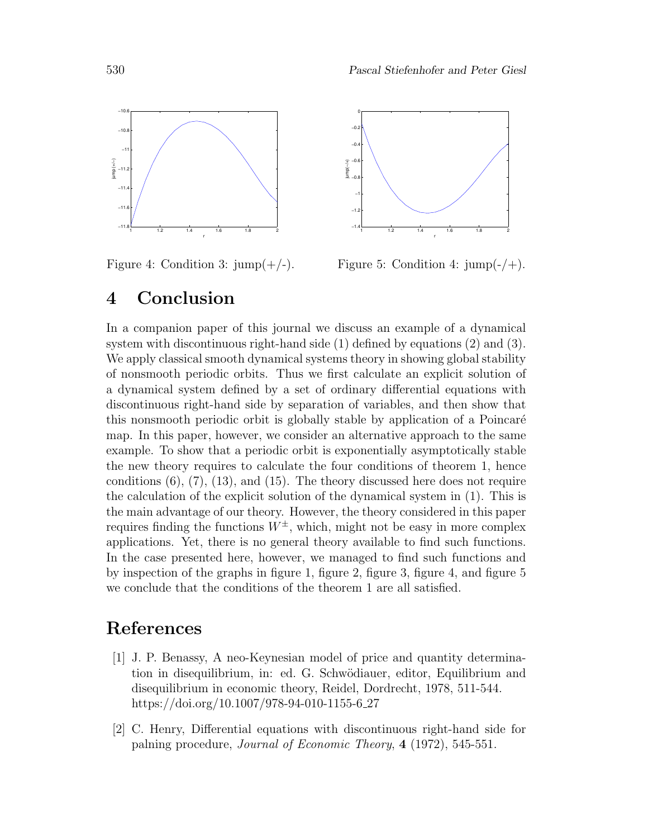

Figure 4: Condition 3:  $jump(+/-)$ .



Figure 5: Condition 4:  $jump(-/+)$ .

#### 4 Conclusion

In a companion paper of this journal we discuss an example of a dynamical system with discontinuous right-hand side (1) defined by equations (2) and (3). We apply classical smooth dynamical systems theory in showing global stability of nonsmooth periodic orbits. Thus we first calculate an explicit solution of a dynamical system defined by a set of ordinary differential equations with discontinuous right-hand side by separation of variables, and then show that this nonsmooth periodic orbit is globally stable by application of a Poincar´e map. In this paper, however, we consider an alternative approach to the same example. To show that a periodic orbit is exponentially asymptotically stable the new theory requires to calculate the four conditions of theorem 1, hence conditions  $(6)$ ,  $(7)$ ,  $(13)$ , and  $(15)$ . The theory discussed here does not require the calculation of the explicit solution of the dynamical system in (1). This is the main advantage of our theory. However, the theory considered in this paper requires finding the functions  $W^{\pm}$ , which, might not be easy in more complex applications. Yet, there is no general theory available to find such functions. In the case presented here, however, we managed to find such functions and by inspection of the graphs in figure 1, figure 2, figure 3, figure 4, and figure 5 we conclude that the conditions of the theorem 1 are all satisfied.

#### References

- [1] J. P. Benassy, A neo-Keynesian model of price and quantity determination in disequilibrium, in: ed. G. Schwödiauer, editor, Equilibrium and disequilibrium in economic theory, Reidel, Dordrecht, 1978, 511-544. https://doi.org/10.1007/978-94-010-1155-6 27
- [2] C. Henry, Differential equations with discontinuous right-hand side for palning procedure, Journal of Economic Theory, 4 (1972), 545-551.